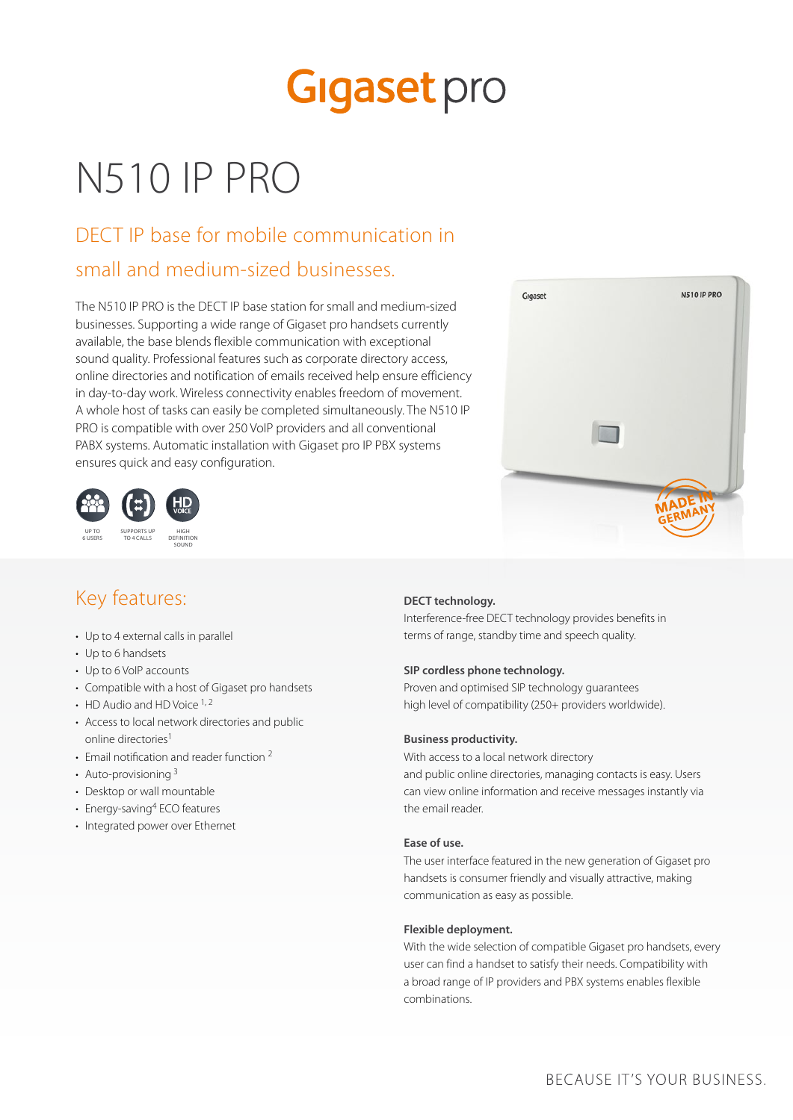# **Gigaset** pro

## N510 IP PRO

## DECT IP base for mobile communication in

### small and medium-sized businesses.

The N510 IP PRO is the DECT IP base station for small and medium-sized businesses. Supporting a wide range of Gigaset pro handsets currently available, the base blends flexible communication with exceptional sound quality. Professional features such as corporate directory access, online directories and notification of emails received help ensure efficiency in day-to-day work. Wireless connectivity enables freedom of movement. A whole host of tasks can easily be completed simultaneously. The N510 IP PRO is compatible with over 250 VoIP providers and all conventional PABX systems. Automatic installation with Gigaset pro IP PBX systems ensures quick and easy configuration.





## Key features:

- Up to 4 external calls in parallel
- Up to 6 handsets
- Up to 6 VoIP accounts
- Compatible with a host of Gigaset pro handsets
- $\cdot$  HD Audio and HD Voice  $^{1,2}$
- Access to local network directories and public online directories<sup>1</sup>
- Email notification and reader function<sup>2</sup>
- Auto-provisioning  $3$
- Desktop or wall mountable
- Energy-saving<sup>4</sup> ECO features
- Integrated power over Ethernet

### **DECT technology.**

Interference-free DECT technology provides benefits in terms of range, standby time and speech quality.

### **SIP cordless phone technology.**

Proven and optimised SIP technology guarantees high level of compatibility (250+ providers worldwide).

#### **Business productivity.**

With access to a local network directory and public online directories, managing contacts is easy. Users can view online information and receive messages instantly via the email reader.

#### **Ease of use.**

The user interface featured in the new generation of Gigaset pro handsets is consumer friendly and visually attractive, making communication as easy as possible.

### **Flexible deployment.**

With the wide selection of compatible Gigaset pro handsets, every user can find a handset to satisfy their needs. Compatibility with a broad range of IP providers and PBX systems enables flexible combinations.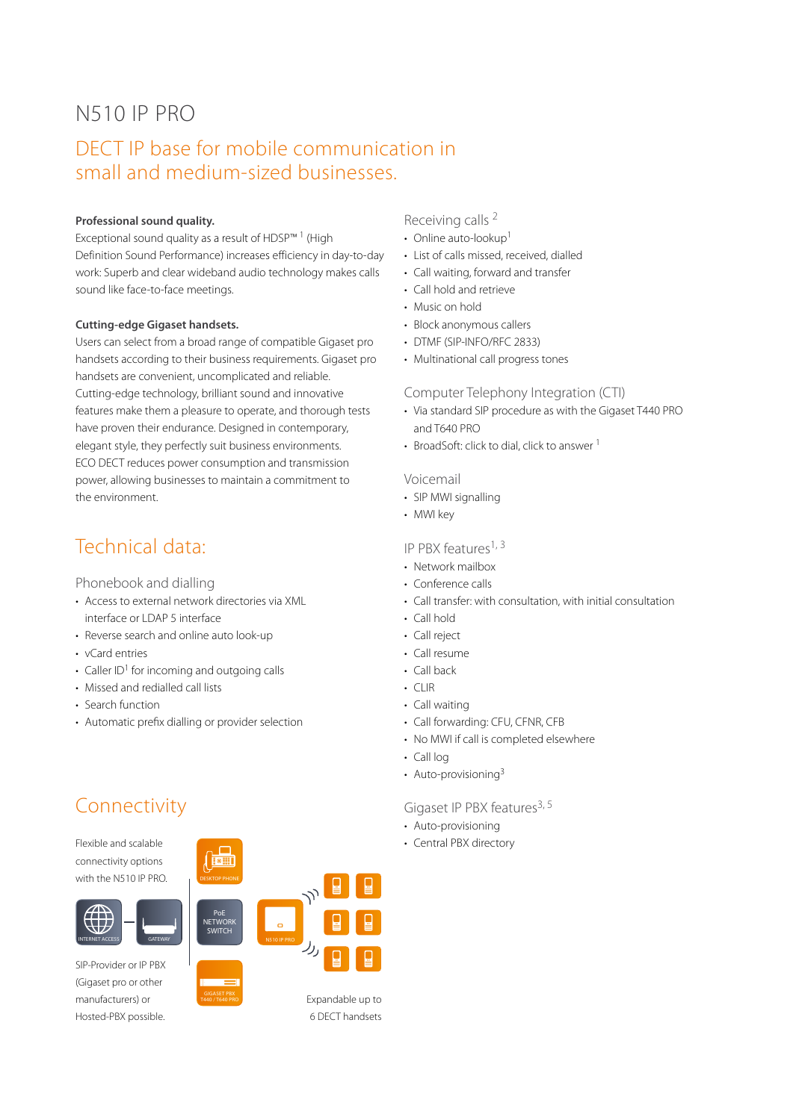## N510 IP PRO

### DECT IP base for mobile communication in small and medium-sized businesses.

### **Professional sound quality.**

Exceptional sound quality as a result of HDSP™ 1 (High Definition Sound Performance) increases efficiency in day-to-day work: Superb and clear wideband audio technology makes calls sound like face-to-face meetings.

#### **Cutting-edge Gigaset handsets.**

Users can select from a broad range of compatible Gigaset pro handsets according to their business requirements. Gigaset pro handsets are convenient, uncomplicated and reliable. Cutting-edge technology, brilliant sound and innovative features make them a pleasure to operate, and thorough tests have proven their endurance. Designed in contemporary, elegant style, they perfectly suit business environments. ECO DECT reduces power consumption and transmission power, allowing businesses to maintain a commitment to the environment.

### Technical data:

Phonebook and dialling

- Access to external network directories via XML interface or LDAP 5 interface
- Reverse search and online auto look-up
- vCard entries
- $\cdot$  Caller ID<sup>1</sup> for incoming and outgoing calls
- Missed and redialled call lists
- Search function
- Automatic prefix dialling or provider selection

## Connectivity

Flexible and scalable connectivity options with the N510 IP PRO.



SIP-Provider or IP PBX (Gigaset pro or other manufacturers) or Hosted-PBX possible.



Expandable up to 6 DECT handsets

GIGASET PBX T440 / T640 PRO

### Receiving calls 2

- Online auto-lookup<sup>1</sup>
- List of calls missed, received, dialled
- Call waiting, forward and transfer
- Call hold and retrieve
- Music on hold
- Block anonymous callers
- DTMF (SIP-INFO/RFC 2833)
- Multinational call progress tones

Computer Telephony Integration (CTI)

- Via standard SIP procedure as with the Gigaset T440 PRO and T640 PRO
- BroadSoft: click to dial, click to answer 1

### Voicemail

- SIP MWI signalling
- MWI key

### IP PBX features<sup>1, 3</sup>

- Network mailbox
- Conference calls
- Call transfer: with consultation, with initial consultation
- Call hold
- Call reject
- Call resume
- Call back
- CLIR
- Call waiting
- Call forwarding: CFU, CFNR, CFB
- No MWI if call is completed elsewhere
- Call log
- Auto-provisioning<sup>3</sup>

### Gigaset IP PBX features<sup>3, 5</sup>

- Auto-provisioning
- Central PBX directory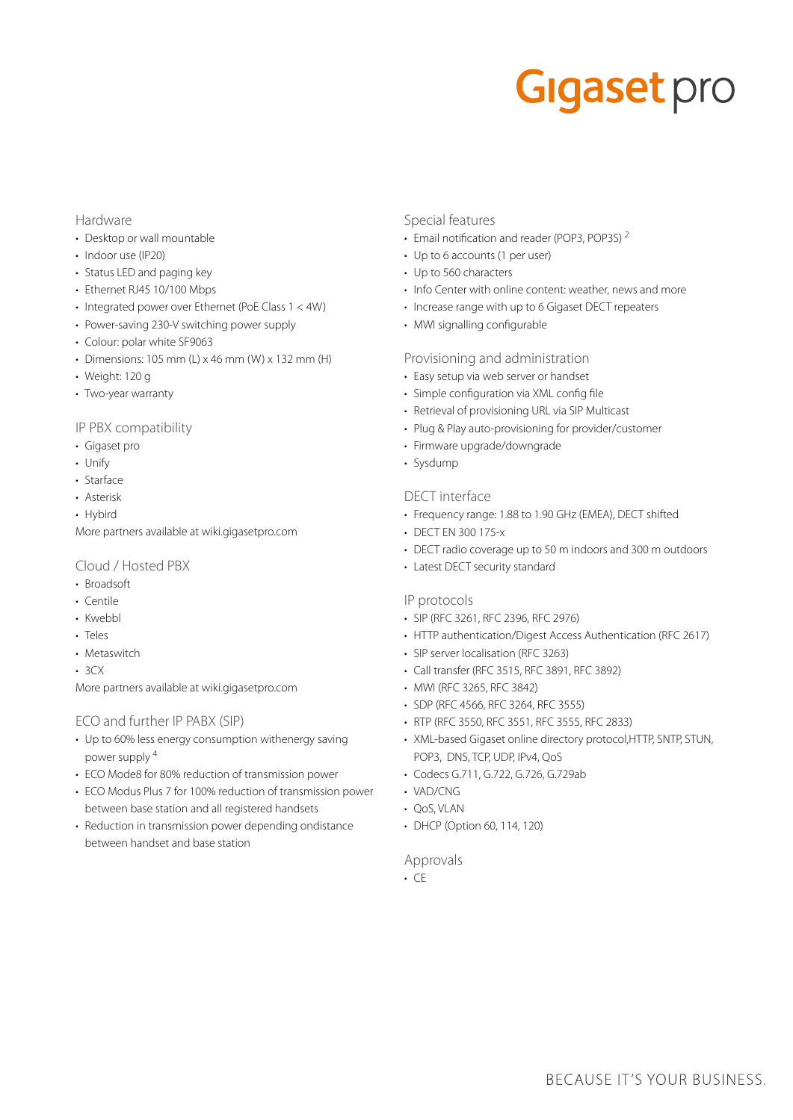# **Gigaset** pro

### Hardware

- Desktop or wall mountable
- Indoor use (IP20)
- Status LED and paging key
- Ethernet RJ45 10/100 Mbps
- Integrated power over Ethernet (PoE Class 1 < 4W)
- Power-saving 230-V switching power supply
- Colour: polar white SF9063
- Dimensions: 105 mm (L)  $\times$  46 mm (W)  $\times$  132 mm (H)
- Weight: 120 g
- Two-year warranty

### IP PBX compatibility

- Gigaset pro
- Unify
- Starface
- Asterisk
- Hybird
- More partners available at wiki.gigasetpro.com

### Cloud / Hosted PBX

- Broadsoft
- Centile
- Kwebbl
- Teles
- Metaswitch
- $.3<sub>C</sub>$

More partners available at wiki.gigasetpro.com

### ECO and further IP PABX (SIP)

- Up to 60% less energy consumption withenergy saving power supply <sup>4</sup>
- ECO Mode8 for 80% reduction of transmission power
- ECO Modus Plus 7 for 100% reduction of transmission power between base station and all registered handsets
- Reduction in transmission power depending ondistance between handset and base station

### Special features

- Email notification and reader (POP3, POP3S) <sup>2</sup>
- Up to 6 accounts (1 per user)
- Up to 560 characters
- Info Center with online content: weather, news and more
- Increase range with up to 6 Gigaset DECT repeaters
- MWI signalling configurable

### Provisioning and administration

- Easy setup via web server or handset
- Simple configuration via XML config file
- Retrieval of provisioning URL via SIP Multicast
- Plug & Play auto-provisioning for provider/customer
- Firmware upgrade/downgrade
- Sysdump

### DECT interface

- Frequency range: 1.88 to 1.90 GHz (EMEA), DECT shifted
- DECT EN 300 175-x
- DECT radio coverage up to 50 m indoors and 300 m outdoors
- Latest DECT security standard

### IP protocols

- SIP (RFC 3261, RFC 2396, RFC 2976)
- HTTP authentication/Digest Access Authentication (RFC 2617)
- SIP server localisation (RFC 3263)
- Call transfer (RFC 3515, RFC 3891, RFC 3892)
- MWI (RFC 3265, RFC 3842)
- SDP (RFC 4566, RFC 3264, RFC 3555)
- RTP (RFC 3550, RFC 3551, RFC 3555, RFC 2833)
- XML-based Gigaset online directory protocol,HTTP, SNTP, STUN, POP3, DNS, TCP, UDP, IPv4, QoS
- Codecs G.711, G.722, G.726, G.729ab
- VAD/CNG
- QoS, VLAN
- DHCP (Option 60, 114, 120)

### Approvals

• CE